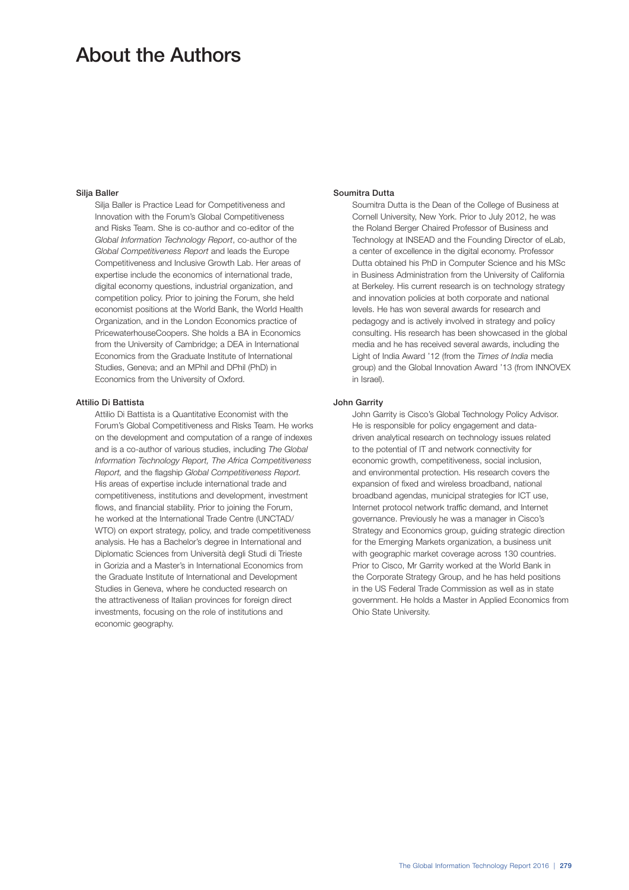# About the Authors

### Silja Baller

Silja Baller is Practice Lead for Competitiveness and Innovation with the Forum's Global Competitiveness and Risks Team. She is co-author and co-editor of the *Global Information Technology Report*, co-author of the *Global Competitiveness Report* and leads the Europe Competitiveness and Inclusive Growth Lab. Her areas of expertise include the economics of international trade, digital economy questions, industrial organization, and competition policy. Prior to joining the Forum, she held economist positions at the World Bank, the World Health Organization, and in the London Economics practice of PricewaterhouseCoopers. She holds a BA in Economics from the University of Cambridge; a DEA in International Economics from the Graduate Institute of International Studies, Geneva; and an MPhil and DPhil (PhD) in Economics from the University of Oxford.

#### Attilio Di Battista

Attilio Di Battista is a Quantitative Economist with the Forum's Global Competitiveness and Risks Team. He works on the development and computation of a range of indexes and is a co-author of various studies, including *The Global Information Technology Report, The Africa Competitiveness Report,* and the flagship *Global Competitiveness Report.* His areas of expertise include international trade and competitiveness, institutions and development, investment flows, and financial stability. Prior to joining the Forum, he worked at the International Trade Centre (UNCTAD/ WTO) on export strategy, policy, and trade competitiveness analysis. He has a Bachelor's degree in International and Diplomatic Sciences from Università degli Studi di Trieste in Gorizia and a Master's in International Economics from the Graduate Institute of International and Development Studies in Geneva, where he conducted research on the attractiveness of Italian provinces for foreign direct investments, focusing on the role of institutions and economic geography.

## Soumitra Dutta

Soumitra Dutta is the Dean of the College of Business at Cornell University, New York. Prior to July 2012, he was the Roland Berger Chaired Professor of Business and Technology at INSEAD and the Founding Director of eLab, a center of excellence in the digital economy. Professor Dutta obtained his PhD in Computer Science and his MSc in Business Administration from the University of California at Berkeley. His current research is on technology strategy and innovation policies at both corporate and national levels. He has won several awards for research and pedagogy and is actively involved in strategy and policy consulting. His research has been showcased in the global media and he has received several awards, including the Light of India Award '12 (from the *Times of India* media group) and the Global Innovation Award '13 (from INNOVEX in Israel).

#### John Garrity

John Garrity is Cisco's Global Technology Policy Advisor. He is responsible for policy engagement and datadriven analytical research on technology issues related to the potential of IT and network connectivity for economic growth, competitiveness, social inclusion, and environmental protection. His research covers the expansion of fixed and wireless broadband, national broadband agendas, municipal strategies for ICT use, Internet protocol network traffic demand, and Internet governance. Previously he was a manager in Cisco's Strategy and Economics group, guiding strategic direction for the Emerging Markets organization, a business unit with geographic market coverage across 130 countries. Prior to Cisco, Mr Garrity worked at the World Bank in the Corporate Strategy Group, and he has held positions in the US Federal Trade Commission as well as in state government. He holds a Master in Applied Economics from Ohio State University.